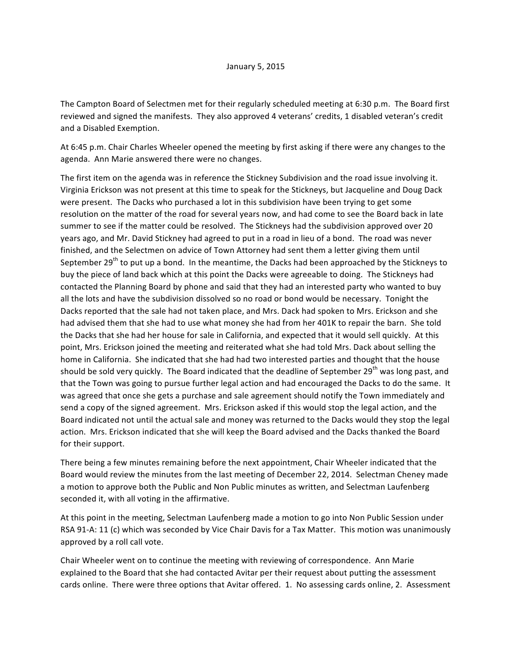The Campton Board of Selectmen met for their regularly scheduled meeting at 6:30 p.m. The Board first reviewed and signed the manifests. They also approved 4 veterans' credits, 1 disabled veteran's credit and a Disabled Exemption.

At 6:45 p.m. Chair Charles Wheeler opened the meeting by first asking if there were any changes to the agenda. Ann Marie answered there were no changes.

The first item on the agenda was in reference the Stickney Subdivision and the road issue involving it. Virginia Erickson was not present at this time to speak for the Stickneys, but Jacqueline and Doug Dack were present. The Dacks who purchased a lot in this subdivision have been trying to get some resolution on the matter of the road for several years now, and had come to see the Board back in late summer to see if the matter could be resolved. The Stickneys had the subdivision approved over 20 years ago, and Mr. David Stickney had agreed to put in a road in lieu of a bond. The road was never finished, and the Selectmen on advice of Town Attorney had sent them a letter giving them until September 29<sup>th</sup> to put up a bond. In the meantime, the Dacks had been approached by the Stickneys to buy the piece of land back which at this point the Dacks were agreeable to doing. The Stickneys had contacted the Planning Board by phone and said that they had an interested party who wanted to buy all the lots and have the subdivision dissolved so no road or bond would be necessary. Tonight the Dacks reported that the sale had not taken place, and Mrs. Dack had spoken to Mrs. Erickson and she had advised them that she had to use what money she had from her 401K to repair the barn. She told the Dacks that she had her house for sale in California, and expected that it would sell quickly. At this point, Mrs. Erickson joined the meeting and reiterated what she had told Mrs. Dack about selling the home in California. She indicated that she had had two interested parties and thought that the house should be sold very quickly. The Board indicated that the deadline of September 29<sup>th</sup> was long past, and that the Town was going to pursue further legal action and had encouraged the Dacks to do the same. It was agreed that once she gets a purchase and sale agreement should notify the Town immediately and send a copy of the signed agreement. Mrs. Erickson asked if this would stop the legal action, and the Board indicated not until the actual sale and money was returned to the Dacks would they stop the legal action. Mrs. Erickson indicated that she will keep the Board advised and the Dacks thanked the Board for their support.

There being a few minutes remaining before the next appointment, Chair Wheeler indicated that the Board would review the minutes from the last meeting of December 22, 2014. Selectman Cheney made a motion to approve both the Public and Non Public minutes as written, and Selectman Laufenberg seconded it, with all voting in the affirmative.

At this point in the meeting, Selectman Laufenberg made a motion to go into Non Public Session under RSA 91-A: 11 (c) which was seconded by Vice Chair Davis for a Tax Matter. This motion was unanimously approved by a roll call vote.

Chair Wheeler went on to continue the meeting with reviewing of correspondence. Ann Marie explained to the Board that she had contacted Avitar per their request about putting the assessment cards online. There were three options that Avitar offered. 1. No assessing cards online, 2. Assessment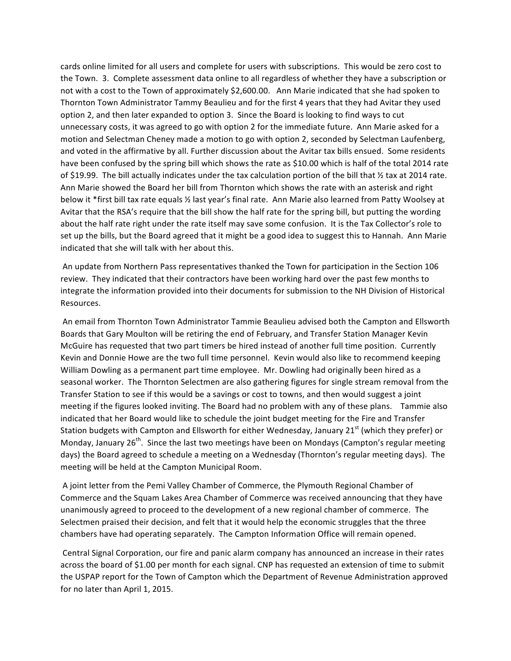cards online limited for all users and complete for users with subscriptions. This would be zero cost to the Town. 3. Complete assessment data online to all regardless of whether they have a subscription or not with a cost to the Town of approximately \$2,600.00. Ann Marie indicated that she had spoken to Thornton Town Administrator Tammy Beaulieu and for the first 4 years that they had Avitar they used option 2, and then later expanded to option 3. Since the Board is looking to find ways to cut unnecessary costs, it was agreed to go with option 2 for the immediate future. Ann Marie asked for a motion and Selectman Cheney made a motion to go with option 2, seconded by Selectman Laufenberg, and voted in the affirmative by all. Further discussion about the Avitar tax bills ensued. Some residents have been confused by the spring bill which shows the rate as \$10.00 which is half of the total 2014 rate of \$19.99. The bill actually indicates under the tax calculation portion of the bill that  $\frac{1}{2}$  tax at 2014 rate. Ann Marie showed the Board her bill from Thornton which shows the rate with an asterisk and right below it \*first bill tax rate equals  $\frac{y}{x}$  last year's final rate. Ann Marie also learned from Patty Woolsey at Avitar that the RSA's require that the bill show the half rate for the spring bill, but putting the wording about the half rate right under the rate itself may save some confusion. It is the Tax Collector's role to set up the bills, but the Board agreed that it might be a good idea to suggest this to Hannah. Ann Marie indicated that she will talk with her about this.

An update from Northern Pass representatives thanked the Town for participation in the Section 106 review. They indicated that their contractors have been working hard over the past few months to integrate the information provided into their documents for submission to the NH Division of Historical Resources.

An email from Thornton Town Administrator Tammie Beaulieu advised both the Campton and Ellsworth Boards that Gary Moulton will be retiring the end of February, and Transfer Station Manager Kevin McGuire has requested that two part timers be hired instead of another full time position. Currently Kevin and Donnie Howe are the two full time personnel. Kevin would also like to recommend keeping William Dowling as a permanent part time employee. Mr. Dowling had originally been hired as a seasonal worker. The Thornton Selectmen are also gathering figures for single stream removal from the Transfer Station to see if this would be a savings or cost to towns, and then would suggest a joint meeting if the figures looked inviting. The Board had no problem with any of these plans. Tammie also indicated that her Board would like to schedule the joint budget meeting for the Fire and Transfer Station budgets with Campton and Ellsworth for either Wednesday, January 21<sup>st</sup> (which they prefer) or Monday, January  $26^{th}$ . Since the last two meetings have been on Mondays (Campton's regular meeting days) the Board agreed to schedule a meeting on a Wednesday (Thornton's regular meeting days). The meeting will be held at the Campton Municipal Room.

A joint letter from the Pemi Valley Chamber of Commerce, the Plymouth Regional Chamber of Commerce and the Squam Lakes Area Chamber of Commerce was received announcing that they have unanimously agreed to proceed to the development of a new regional chamber of commerce. The Selectmen praised their decision, and felt that it would help the economic struggles that the three chambers have had operating separately. The Campton Information Office will remain opened.

Central Signal Corporation, our fire and panic alarm company has announced an increase in their rates across the board of \$1.00 per month for each signal. CNP has requested an extension of time to submit the USPAP report for the Town of Campton which the Department of Revenue Administration approved for no later than April 1, 2015.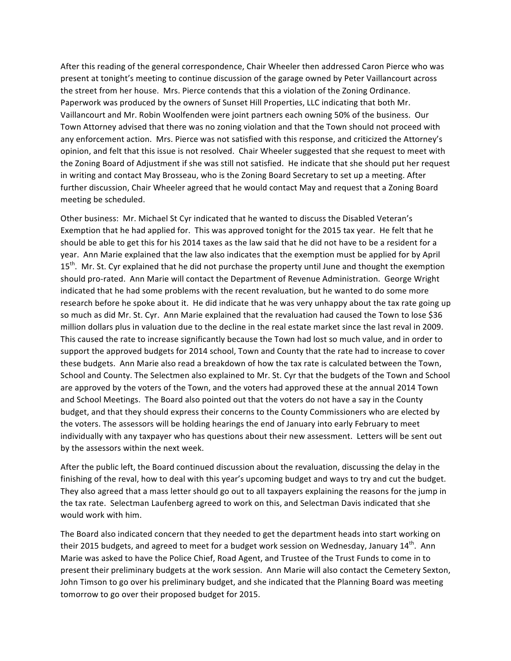After this reading of the general correspondence, Chair Wheeler then addressed Caron Pierce who was present at tonight's meeting to continue discussion of the garage owned by Peter Vaillancourt across the street from her house. Mrs. Pierce contends that this a violation of the Zoning Ordinance. Paperwork was produced by the owners of Sunset Hill Properties, LLC indicating that both Mr. Vaillancourt and Mr. Robin Woolfenden were joint partners each owning 50% of the business. Our Town Attorney advised that there was no zoning violation and that the Town should not proceed with any enforcement action. Mrs. Pierce was not satisfied with this response, and criticized the Attorney's opinion, and felt that this issue is not resolved. Chair Wheeler suggested that she request to meet with the Zoning Board of Adjustment if she was still not satisfied. He indicate that she should put her request in writing and contact May Brosseau, who is the Zoning Board Secretary to set up a meeting. After further discussion, Chair Wheeler agreed that he would contact May and request that a Zoning Board meeting be scheduled.

Other business: Mr. Michael St Cyr indicated that he wanted to discuss the Disabled Veteran's Exemption that he had applied for. This was approved tonight for the 2015 tax year. He felt that he should be able to get this for his 2014 taxes as the law said that he did not have to be a resident for a year. Ann Marie explained that the law also indicates that the exemption must be applied for by April 15<sup>th</sup>. Mr. St. Cyr explained that he did not purchase the property until June and thought the exemption should pro-rated. Ann Marie will contact the Department of Revenue Administration. George Wright indicated that he had some problems with the recent revaluation, but he wanted to do some more research before he spoke about it. He did indicate that he was very unhappy about the tax rate going up so much as did Mr. St. Cyr. Ann Marie explained that the revaluation had caused the Town to lose \$36 million dollars plus in valuation due to the decline in the real estate market since the last reval in 2009. This caused the rate to increase significantly because the Town had lost so much value, and in order to support the approved budgets for 2014 school, Town and County that the rate had to increase to cover these budgets. Ann Marie also read a breakdown of how the tax rate is calculated between the Town, School and County. The Selectmen also explained to Mr. St. Cyr that the budgets of the Town and School are approved by the voters of the Town, and the voters had approved these at the annual 2014 Town and School Meetings. The Board also pointed out that the voters do not have a say in the County budget, and that they should express their concerns to the County Commissioners who are elected by the voters. The assessors will be holding hearings the end of January into early February to meet individually with any taxpayer who has questions about their new assessment. Letters will be sent out by the assessors within the next week.

After the public left, the Board continued discussion about the revaluation, discussing the delay in the finishing of the reval, how to deal with this year's upcoming budget and ways to try and cut the budget. They also agreed that a mass letter should go out to all taxpayers explaining the reasons for the jump in the tax rate. Selectman Laufenberg agreed to work on this, and Selectman Davis indicated that she would work with him.

The Board also indicated concern that they needed to get the department heads into start working on their 2015 budgets, and agreed to meet for a budget work session on Wednesday, January 14<sup>th</sup>. Ann Marie was asked to have the Police Chief, Road Agent, and Trustee of the Trust Funds to come in to present their preliminary budgets at the work session. Ann Marie will also contact the Cemetery Sexton, John Timson to go over his preliminary budget, and she indicated that the Planning Board was meeting tomorrow to go over their proposed budget for 2015.